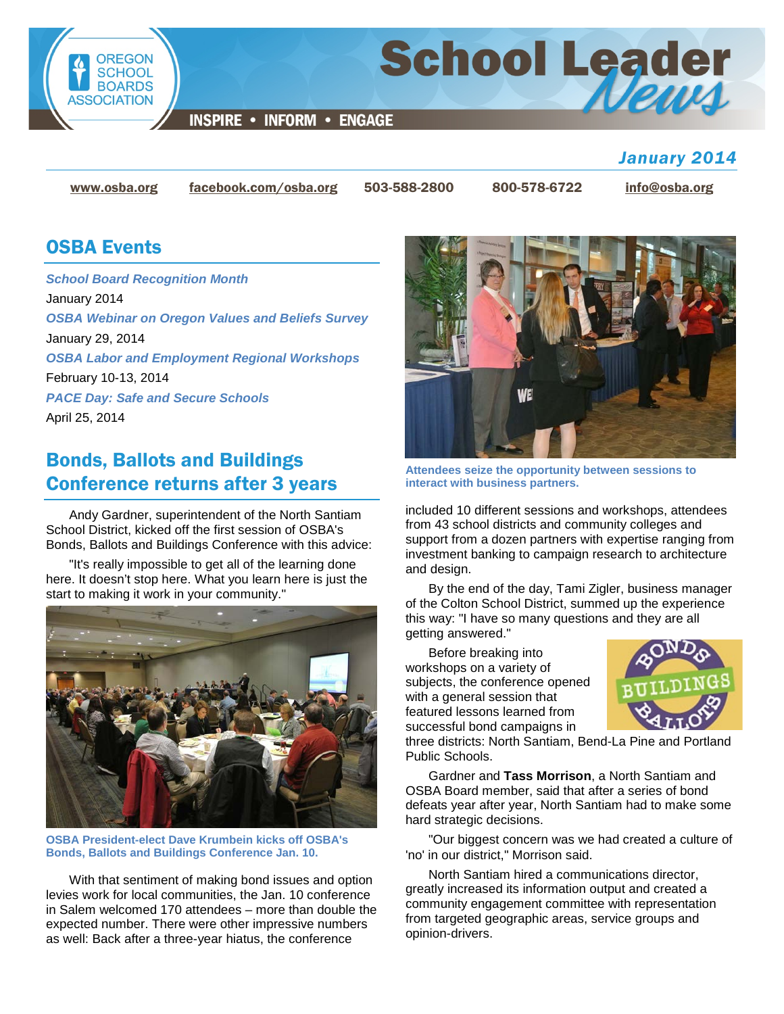

**School Leader** 

**INSPIRE • INFORM • ENGAGE** 

*January 2014*

[www.osba.org](http://www.osba.org/) [facebook.com/osba.org](http://www.facebook.com/osba.org) 503-588-2800 800-578-6722 [info@osba.org](mailto:info@osba.org)

#### OSBA Events

*[School Board Recognition Month](http://www.osba.org/Calendar/Events/School_Board_Recognition_Month.aspx)* January 2014 *[OSBA Webinar on Oregon Values and Beliefs Survey](http://www.osba.org/Calendar/Events/Webinar-Values_and_Beliefs-2014-01-29.aspx)* January 29, 2014 *[OSBA Labor and Employment Regional Workshops](http://www.osba.org/Calendar/Events/Labor_and_Employment_Regional_Meetings_14.aspx)* February 10-13, 2014 *[PACE Day: Safe and Secure Schools](http://www.osba.org/Calendar/Events/PACE_Day-2014.aspx)* April 25, 2014

# Bonds, Ballots and Buildings Conference returns after 3 years

Andy Gardner, superintendent of the North Santiam School District, kicked off the first session of OSBA's Bonds, Ballots and Buildings Conference with this advice:

"It's really impossible to get all of the learning done here. It doesn't stop here. What you learn here is just the start to making it work in your community."



**OSBA President-elect Dave Krumbein kicks off OSBA's Bonds, Ballots and Buildings Conference Jan. 10.**

With that sentiment of making bond issues and option levies work for local communities, the Jan. 10 conference in Salem welcomed 170 attendees – more than double the expected number. There were other impressive numbers as well: Back after a three-year hiatus, the conference



**Attendees seize the opportunity between sessions to interact with business partners.**

included 10 different sessions and workshops, attendees from 43 school districts and community colleges and support from a dozen partners with expertise ranging from investment banking to campaign research to architecture and design.

By the end of the day, Tami Zigler, business manager of the Colton School District, summed up the experience this way: "I have so many questions and they are all getting answered."

Before breaking into workshops on a variety of subjects, the conference opened with a general session that featured lessons learned from successful bond campaigns in



three districts: North Santiam, Bend-La Pine and Portland Public Schools.

Gardner and **Tass Morrison**, a North Santiam and OSBA Board member, said that after a series of bond defeats year after year, North Santiam had to make some hard strategic decisions.

"Our biggest concern was we had created a culture of 'no' in our district," Morrison said.

North Santiam hired a communications director, greatly increased its information output and created a community engagement committee with representation from targeted geographic areas, service groups and opinion-drivers.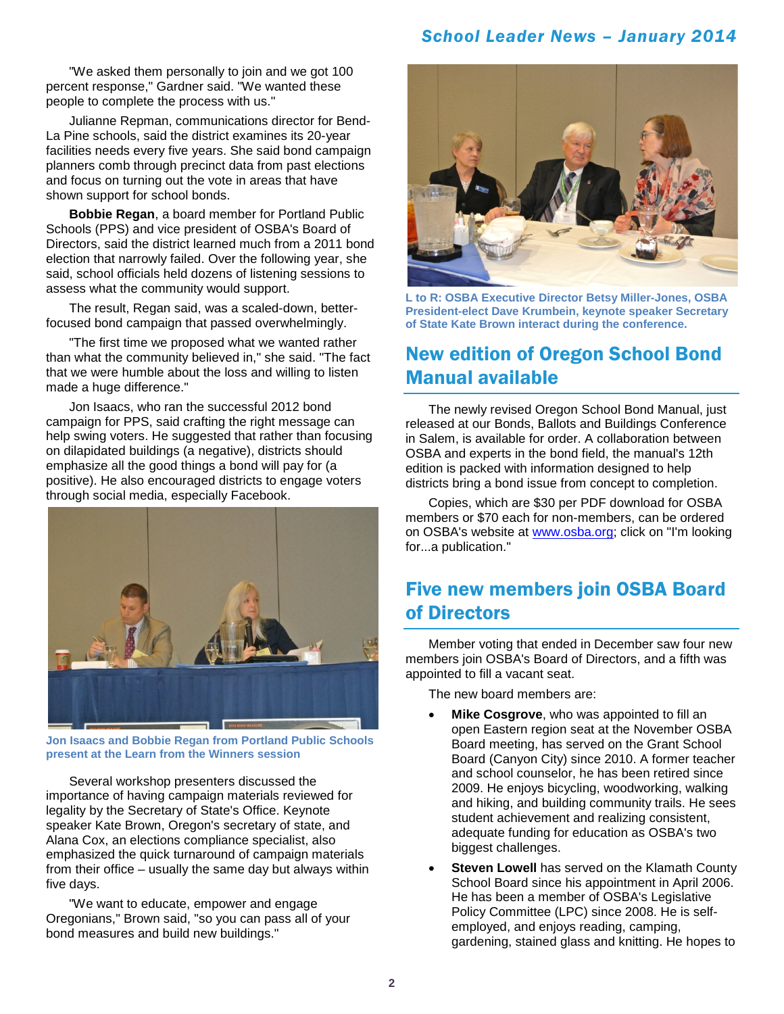#### *School Leader News – January 2014*

"We asked them personally to join and we got 100 percent response," Gardner said. "We wanted these people to complete the process with us."

Julianne Repman, communications director for Bend-La Pine schools, said the district examines its 20-year facilities needs every five years. She said bond campaign planners comb through precinct data from past elections and focus on turning out the vote in areas that have shown support for school bonds.

**Bobbie Regan**, a board member for Portland Public Schools (PPS) and vice president of OSBA's Board of Directors, said the district learned much from a 2011 bond election that narrowly failed. Over the following year, she said, school officials held dozens of listening sessions to assess what the community would support.

The result, Regan said, was a scaled-down, betterfocused bond campaign that passed overwhelmingly.

"The first time we proposed what we wanted rather than what the community believed in," she said. "The fact that we were humble about the loss and willing to listen made a huge difference."

Jon Isaacs, who ran the successful 2012 bond campaign for PPS, said crafting the right message can help swing voters. He suggested that rather than focusing on dilapidated buildings (a negative), districts should emphasize all the good things a bond will pay for (a positive). He also encouraged districts to engage voters through social media, especially Facebook.



**Jon Isaacs and Bobbie Regan from Portland Public Schools present at the Learn from the Winners session**

Several workshop presenters discussed the importance of having campaign materials reviewed for legality by the Secretary of State's Office. Keynote speaker Kate Brown, Oregon's secretary of state, and Alana Cox, an elections compliance specialist, also emphasized the quick turnaround of campaign materials from their office – usually the same day but always within five days.

"We want to educate, empower and engage Oregonians," Brown said, "so you can pass all of your bond measures and build new buildings."



**L to R: OSBA Executive Director Betsy Miller-Jones, OSBA President-elect Dave Krumbein, keynote speaker Secretary of State Kate Brown interact during the conference.**

## New edition of Oregon School Bond Manual available

The newly revised Oregon School Bond Manual, just released at our Bonds, Ballots and Buildings Conference in Salem, is available for order. A collaboration between OSBA and experts in the bond field, the manual's 12th edition is packed with information designed to help districts bring a bond issue from concept to completion.

Copies, which are \$30 per PDF download for OSBA members or \$70 each for non-members, can be ordered on OSBA's website at [www.osba.org;](http://www.osba.org/) click on "I'm looking for...a publication."

## Five new members join OSBA Board of Directors

Member voting that ended in December saw four new members join OSBA's Board of Directors, and a fifth was appointed to fill a vacant seat.

The new board members are:

- **Mike Cosgrove**, who was appointed to fill an open Eastern region seat at the November OSBA Board meeting, has served on the Grant School Board (Canyon City) since 2010. A former teacher and school counselor, he has been retired since 2009. He enjoys bicycling, woodworking, walking and hiking, and building community trails. He sees student achievement and realizing consistent, adequate funding for education as OSBA's two biggest challenges.
- **Steven Lowell** has served on the Klamath County School Board since his appointment in April 2006. He has been a member of OSBA's Legislative Policy Committee (LPC) since 2008. He is selfemployed, and enjoys reading, camping, gardening, stained glass and knitting. He hopes to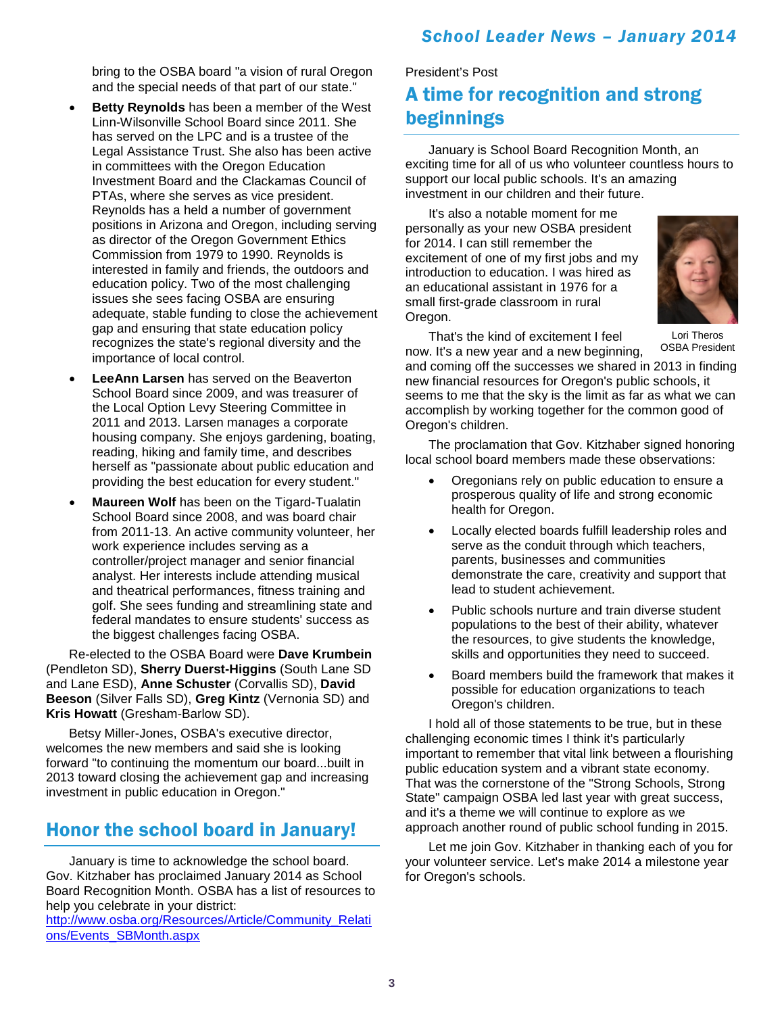bring to the OSBA board "a vision of rural Oregon and the special needs of that part of our state."

- **Betty Reynolds** has been a member of the West Linn-Wilsonville School Board since 2011. She has served on the LPC and is a trustee of the Legal Assistance Trust. She also has been active in committees with the Oregon Education Investment Board and the Clackamas Council of PTAs, where she serves as vice president. Reynolds has a held a number of government positions in Arizona and Oregon, including serving as director of the Oregon Government Ethics Commission from 1979 to 1990. Reynolds is interested in family and friends, the outdoors and education policy. Two of the most challenging issues she sees facing OSBA are ensuring adequate, stable funding to close the achievement gap and ensuring that state education policy recognizes the state's regional diversity and the importance of local control.
- **LeeAnn Larsen** has served on the Beaverton School Board since 2009, and was treasurer of the Local Option Levy Steering Committee in 2011 and 2013. Larsen manages a corporate housing company. She enjoys gardening, boating, reading, hiking and family time, and describes herself as "passionate about public education and providing the best education for every student."
- **Maureen Wolf** has been on the Tigard-Tualatin School Board since 2008, and was board chair from 2011-13. An active community volunteer, her work experience includes serving as a controller/project manager and senior financial analyst. Her interests include attending musical and theatrical performances, fitness training and golf. She sees funding and streamlining state and federal mandates to ensure students' success as the biggest challenges facing OSBA.

Re-elected to the OSBA Board were **Dave Krumbein**  (Pendleton SD), **Sherry Duerst-Higgins** (South Lane SD and Lane ESD), **Anne Schuster** (Corvallis SD), **David Beeson** (Silver Falls SD), **Greg Kintz** (Vernonia SD) and **Kris Howatt** (Gresham-Barlow SD).

Betsy Miller-Jones, OSBA's executive director, welcomes the new members and said she is looking forward "to continuing the momentum our board...built in 2013 toward closing the achievement gap and increasing investment in public education in Oregon."

## Honor the school board in January!

January is time to acknowledge the school board. Gov. Kitzhaber has proclaimed January 2014 as School Board Recognition Month. OSBA has a list of resources to help you celebrate in your district:

[http://www.osba.org/Resources/Article/Community\\_Relati](http://www.osba.org/Resources/Article/Community_Relations/Events_SBMonth.aspx) [ons/Events\\_SBMonth.aspx](http://www.osba.org/Resources/Article/Community_Relations/Events_SBMonth.aspx) 

## President's Post A time for recognition and strong beginnings

January is School Board Recognition Month, an exciting time for all of us who volunteer countless hours to support our local public schools. It's an amazing investment in our children and their future.

It's also a notable moment for me personally as your new OSBA president for 2014. I can still remember the excitement of one of my first jobs and my introduction to education. I was hired as an educational assistant in 1976 for a small first-grade classroom in rural Oregon.



Lori Theros OSBA President

That's the kind of excitement I feel

now. It's a new year and a new beginning, and coming off the successes we shared in 2013 in finding new financial resources for Oregon's public schools, it seems to me that the sky is the limit as far as what we can accomplish by working together for the common good of Oregon's children.

The proclamation that Gov. Kitzhaber signed honoring local school board members made these observations:

- Oregonians rely on public education to ensure a prosperous quality of life and strong economic health for Oregon.
- Locally elected boards fulfill leadership roles and serve as the conduit through which teachers, parents, businesses and communities demonstrate the care, creativity and support that lead to student achievement.
- Public schools nurture and train diverse student populations to the best of their ability, whatever the resources, to give students the knowledge, skills and opportunities they need to succeed.
- Board members build the framework that makes it possible for education organizations to teach Oregon's children.

I hold all of those statements to be true, but in these challenging economic times I think it's particularly important to remember that vital link between a flourishing public education system and a vibrant state economy. That was the cornerstone of the "Strong Schools, Strong State" campaign OSBA led last year with great success, and it's a theme we will continue to explore as we approach another round of public school funding in 2015.

Let me join Gov. Kitzhaber in thanking each of you for your volunteer service. Let's make 2014 a milestone year for Oregon's schools.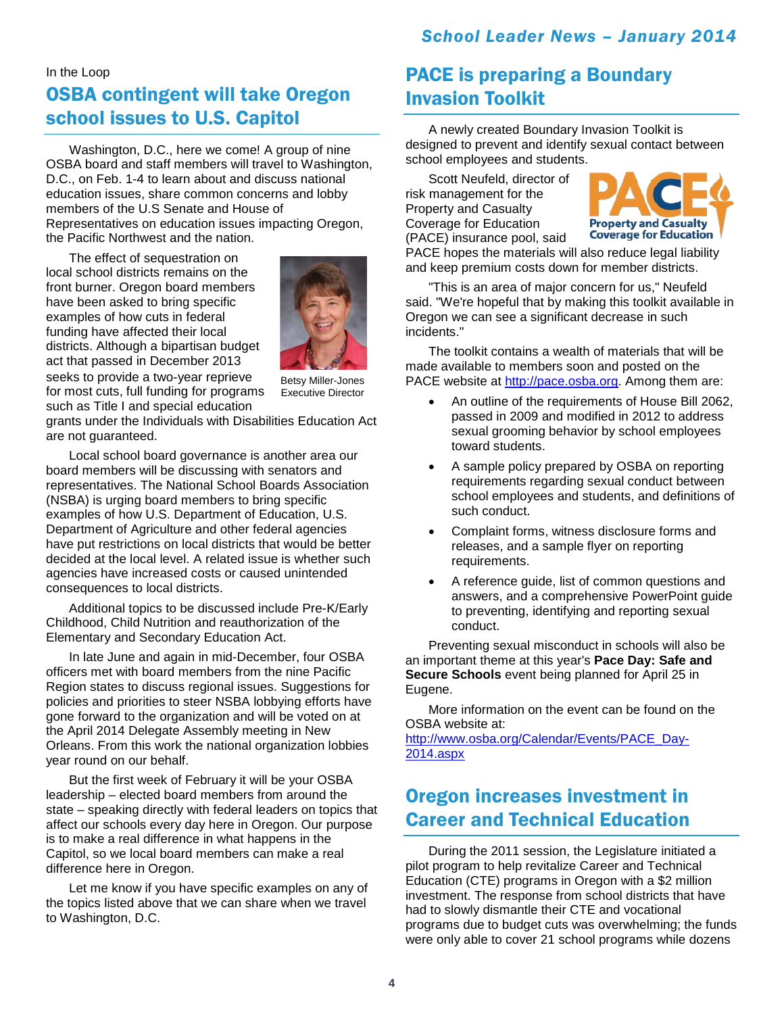#### In the Loop

# OSBA contingent will take Oregon school issues to U.S. Capitol

Washington, D.C., here we come! A group of nine OSBA board and staff members will travel to Washington, D.C., on Feb. 1-4 to learn about and discuss national education issues, share common concerns and lobby members of the U.S Senate and House of Representatives on education issues impacting Oregon, the Pacific Northwest and the nation.

The effect of sequestration on local school districts remains on the front burner. Oregon board members have been asked to bring specific examples of how cuts in federal funding have affected their local districts. Although a bipartisan budget act that passed in December 2013 seeks to provide a two-year reprieve for most cuts, full funding for programs



such as Title I and special education

Betsy Miller-Jones Executive Director

grants under the Individuals with Disabilities Education Act are not guaranteed.

Local school board governance is another area our board members will be discussing with senators and representatives. The National School Boards Association (NSBA) is urging board members to bring specific examples of how U.S. Department of Education, U.S. Department of Agriculture and other federal agencies have put restrictions on local districts that would be better decided at the local level. A related issue is whether such agencies have increased costs or caused unintended consequences to local districts.

Additional topics to be discussed include Pre-K/Early Childhood, Child Nutrition and reauthorization of the Elementary and Secondary Education Act.

In late June and again in mid-December, four OSBA officers met with board members from the nine Pacific Region states to discuss regional issues. Suggestions for policies and priorities to steer NSBA lobbying efforts have gone forward to the organization and will be voted on at the April 2014 Delegate Assembly meeting in New Orleans. From this work the national organization lobbies year round on our behalf.

But the first week of February it will be your OSBA leadership – elected board members from around the state – speaking directly with federal leaders on topics that affect our schools every day here in Oregon. Our purpose is to make a real difference in what happens in the Capitol, so we local board members can make a real difference here in Oregon.

Let me know if you have specific examples on any of the topics listed above that we can share when we travel to Washington, D.C.

## PACE is preparing a Boundary Invasion Toolkit

A newly created Boundary Invasion Toolkit is designed to prevent and identify sexual contact between school employees and students.

Scott Neufeld, director of risk management for the Property and Casualty Coverage for Education (PACE) insurance pool, said



PACE hopes the materials will also reduce legal liability and keep premium costs down for member districts.

"This is an area of major concern for us," Neufeld said. "We're hopeful that by making this toolkit available in Oregon we can see a significant decrease in such incidents."

The toolkit contains a wealth of materials that will be made available to members soon and posted on the PACE website at [http://pace.osba.org.](http://pace.osba.org/) Among them are:

- An outline of the requirements of House Bill 2062, passed in 2009 and modified in 2012 to address sexual grooming behavior by school employees toward students.
- A sample policy prepared by OSBA on reporting requirements regarding sexual conduct between school employees and students, and definitions of such conduct.
- Complaint forms, witness disclosure forms and releases, and a sample flyer on reporting requirements.
- A reference guide, list of common questions and answers, and a comprehensive PowerPoint guide to preventing, identifying and reporting sexual conduct.

Preventing sexual misconduct in schools will also be an important theme at this year's **Pace Day: Safe and Secure Schools** event being planned for April 25 in Eugene.

More information on the event can be found on the OSBA website at:

[http://www.osba.org/Calendar/Events/PACE\\_Day-](http://www.osba.org/Calendar/Events/PACE_Day-2014.aspx)[2014.aspx](http://www.osba.org/Calendar/Events/PACE_Day-2014.aspx)

## Oregon increases investment in Career and Technical Education

During the 2011 session, the Legislature initiated a pilot program to help revitalize Career and Technical Education (CTE) programs in Oregon with a \$2 million investment. The response from school districts that have had to slowly dismantle their CTE and vocational programs due to budget cuts was overwhelming; the funds were only able to cover 21 school programs while dozens